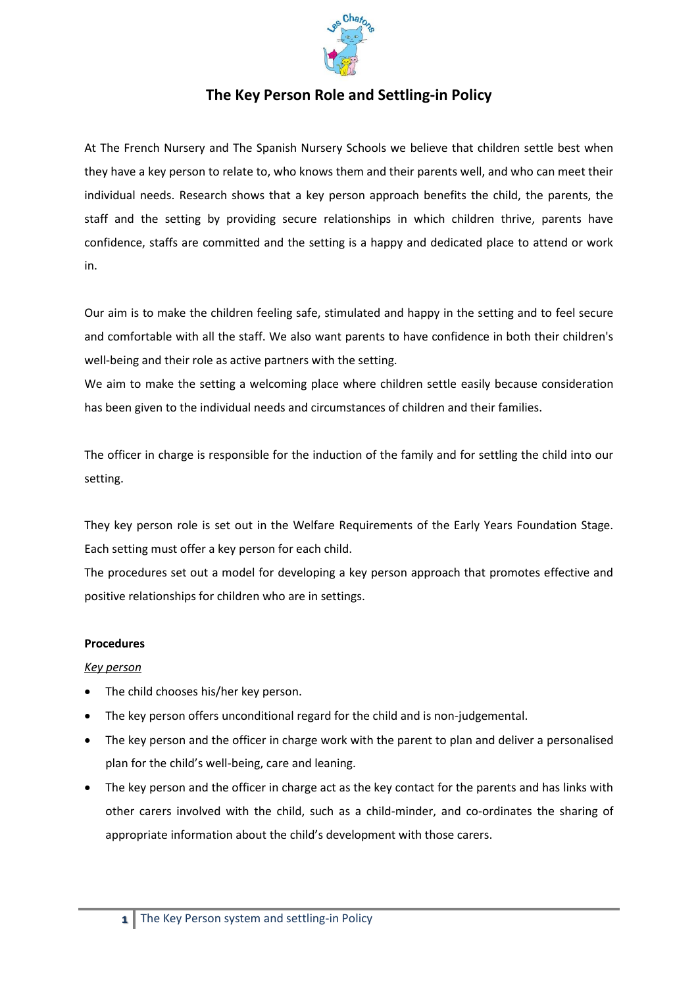

## **The Key Person Role and Settling-in Policy**

At The French Nursery and The Spanish Nursery Schools we believe that children settle best when they have a key person to relate to, who knows them and their parents well, and who can meet their individual needs. Research shows that a key person approach benefits the child, the parents, the staff and the setting by providing secure relationships in which children thrive, parents have confidence, staffs are committed and the setting is a happy and dedicated place to attend or work in.

Our aim is to make the children feeling safe, stimulated and happy in the setting and to feel secure and comfortable with all the staff. We also want parents to have confidence in both their children's well-being and their role as active partners with the setting.

We aim to make the setting a welcoming place where children settle easily because consideration has been given to the individual needs and circumstances of children and their families.

The officer in charge is responsible for the induction of the family and for settling the child into our setting.

They key person role is set out in the Welfare Requirements of the Early Years Foundation Stage. Each setting must offer a key person for each child.

The procedures set out a model for developing a key person approach that promotes effective and positive relationships for children who are in settings.

## **Procedures**

## *Key person*

- The child chooses his/her key person.
- The key person offers unconditional regard for the child and is non-judgemental.
- The key person and the officer in charge work with the parent to plan and deliver a personalised plan for the child's well-being, care and leaning.
- The key person and the officer in charge act as the key contact for the parents and has links with other carers involved with the child, such as a child-minder, and co-ordinates the sharing of appropriate information about the child's development with those carers.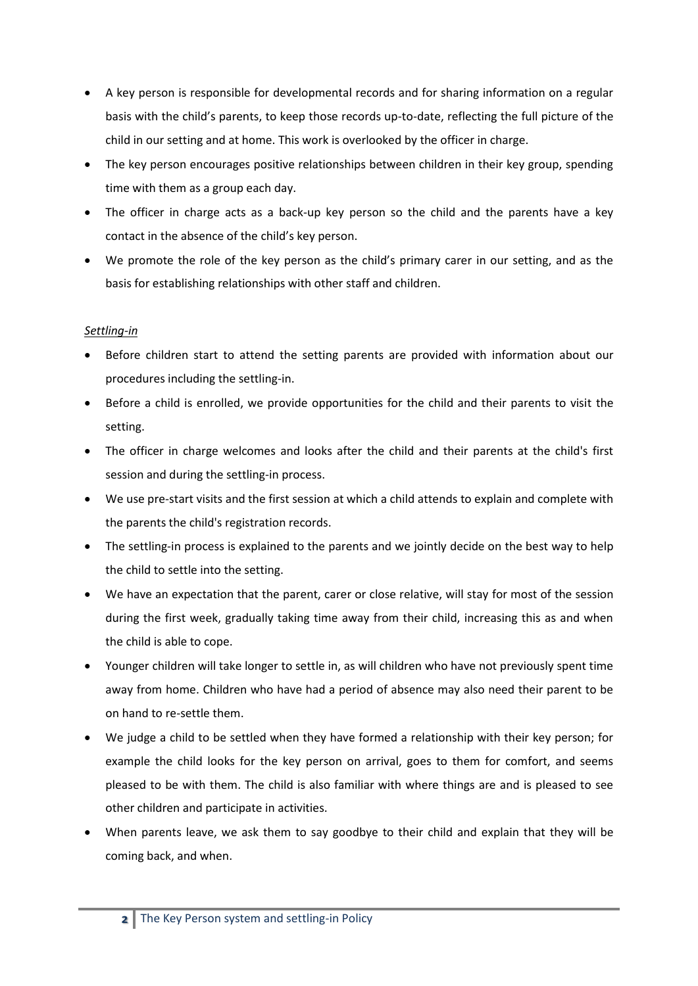- A key person is responsible for developmental records and for sharing information on a regular basis with the child's parents, to keep those records up-to-date, reflecting the full picture of the child in our setting and at home. This work is overlooked by the officer in charge.
- The key person encourages positive relationships between children in their key group, spending time with them as a group each day.
- The officer in charge acts as a back-up key person so the child and the parents have a key contact in the absence of the child's key person.
- We promote the role of the key person as the child's primary carer in our setting, and as the basis for establishing relationships with other staff and children.

## *Settling-in*

- Before children start to attend the setting parents are provided with information about our procedures including the settling-in.
- Before a child is enrolled, we provide opportunities for the child and their parents to visit the setting.
- The officer in charge welcomes and looks after the child and their parents at the child's first session and during the settling-in process.
- We use pre-start visits and the first session at which a child attends to explain and complete with the parents the child's registration records.
- The settling-in process is explained to the parents and we jointly decide on the best way to help the child to settle into the setting.
- We have an expectation that the parent, carer or close relative, will stay for most of the session during the first week, gradually taking time away from their child, increasing this as and when the child is able to cope.
- Younger children will take longer to settle in, as will children who have not previously spent time away from home. Children who have had a period of absence may also need their parent to be on hand to re-settle them.
- We judge a child to be settled when they have formed a relationship with their key person; for example the child looks for the key person on arrival, goes to them for comfort, and seems pleased to be with them. The child is also familiar with where things are and is pleased to see other children and participate in activities.
- When parents leave, we ask them to say goodbye to their child and explain that they will be coming back, and when.